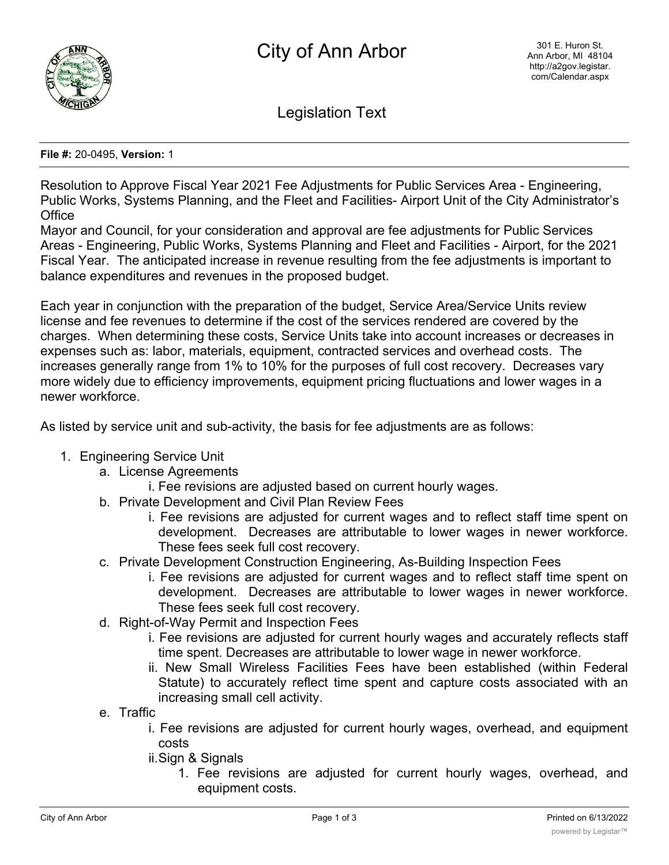

Legislation Text

## **File #:** 20-0495, **Version:** 1

Resolution to Approve Fiscal Year 2021 Fee Adjustments for Public Services Area - Engineering, Public Works, Systems Planning, and the Fleet and Facilities- Airport Unit of the City Administrator's **Office** 

Mayor and Council, for your consideration and approval are fee adjustments for Public Services Areas - Engineering, Public Works, Systems Planning and Fleet and Facilities - Airport, for the 2021 Fiscal Year. The anticipated increase in revenue resulting from the fee adjustments is important to balance expenditures and revenues in the proposed budget.

Each year in conjunction with the preparation of the budget, Service Area/Service Units review license and fee revenues to determine if the cost of the services rendered are covered by the charges. When determining these costs, Service Units take into account increases or decreases in expenses such as: labor, materials, equipment, contracted services and overhead costs. The increases generally range from 1% to 10% for the purposes of full cost recovery. Decreases vary more widely due to efficiency improvements, equipment pricing fluctuations and lower wages in a newer workforce.

As listed by service unit and sub-activity, the basis for fee adjustments are as follows:

## 1. Engineering Service Unit

- a. License Agreements
	- i. Fee revisions are adjusted based on current hourly wages.
- b. Private Development and Civil Plan Review Fees
	- i. Fee revisions are adjusted for current wages and to reflect staff time spent on development. Decreases are attributable to lower wages in newer workforce. These fees seek full cost recovery.
- c. Private Development Construction Engineering, As-Building Inspection Fees
	- i. Fee revisions are adjusted for current wages and to reflect staff time spent on development. Decreases are attributable to lower wages in newer workforce. These fees seek full cost recovery.
- d. Right-of-Way Permit and Inspection Fees
	- i. Fee revisions are adjusted for current hourly wages and accurately reflects staff time spent. Decreases are attributable to lower wage in newer workforce.
	- ii. New Small Wireless Facilities Fees have been established (within Federal Statute) to accurately reflect time spent and capture costs associated with an increasing small cell activity.
- e. Traffic
	- i. Fee revisions are adjusted for current hourly wages, overhead, and equipment costs
	- ii.Sign & Signals
		- 1. Fee revisions are adjusted for current hourly wages, overhead, and equipment costs.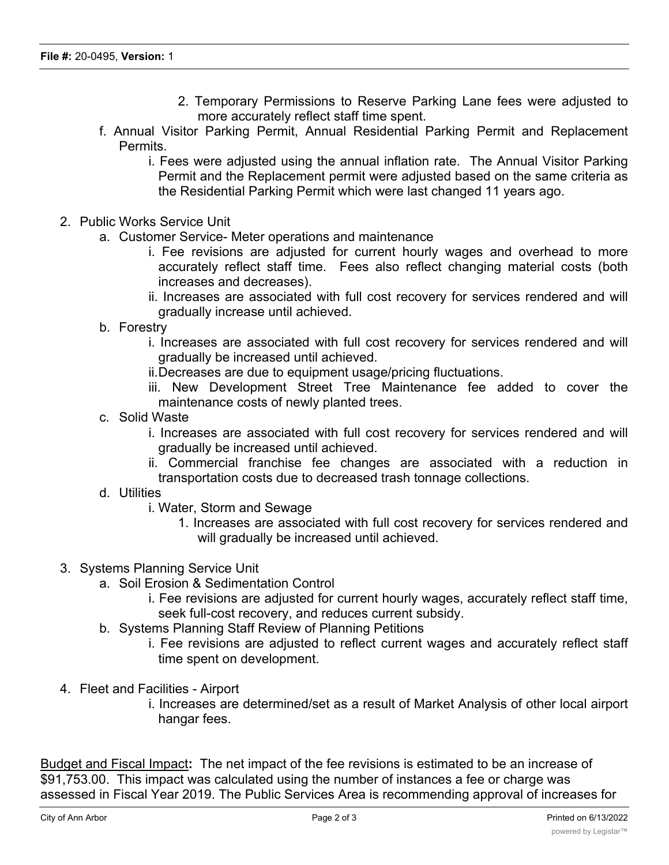- 2. Temporary Permissions to Reserve Parking Lane fees were adjusted to more accurately reflect staff time spent.
- f. Annual Visitor Parking Permit, Annual Residential Parking Permit and Replacement Permits.
	- i. Fees were adjusted using the annual inflation rate. The Annual Visitor Parking Permit and the Replacement permit were adjusted based on the same criteria as the Residential Parking Permit which were last changed 11 years ago.
- 2. Public Works Service Unit
	- a. Customer Service- Meter operations and maintenance
		- i. Fee revisions are adjusted for current hourly wages and overhead to more accurately reflect staff time. Fees also reflect changing material costs (both increases and decreases).
		- ii. Increases are associated with full cost recovery for services rendered and will gradually increase until achieved.
	- b. Forestry
		- i. Increases are associated with full cost recovery for services rendered and will gradually be increased until achieved.
		- ii.Decreases are due to equipment usage/pricing fluctuations.
		- iii. New Development Street Tree Maintenance fee added to cover the maintenance costs of newly planted trees.
	- c. Solid Waste
		- i. Increases are associated with full cost recovery for services rendered and will gradually be increased until achieved.
		- ii. Commercial franchise fee changes are associated with a reduction in transportation costs due to decreased trash tonnage collections.
	- d. Utilities
		- i. Water, Storm and Sewage
			- 1. Increases are associated with full cost recovery for services rendered and will gradually be increased until achieved.
- 3. Systems Planning Service Unit
	- a. Soil Erosion & Sedimentation Control
		- i. Fee revisions are adjusted for current hourly wages, accurately reflect staff time, seek full-cost recovery, and reduces current subsidy.
	- b. Systems Planning Staff Review of Planning Petitions
		- i. Fee revisions are adjusted to reflect current wages and accurately reflect staff time spent on development.
- 4. Fleet and Facilities Airport
	- i. Increases are determined/set as a result of Market Analysis of other local airport hangar fees.

Budget and Fiscal Impact**:** The net impact of the fee revisions is estimated to be an increase of \$91,753.00. This impact was calculated using the number of instances a fee or charge was assessed in Fiscal Year 2019. The Public Services Area is recommending approval of increases for